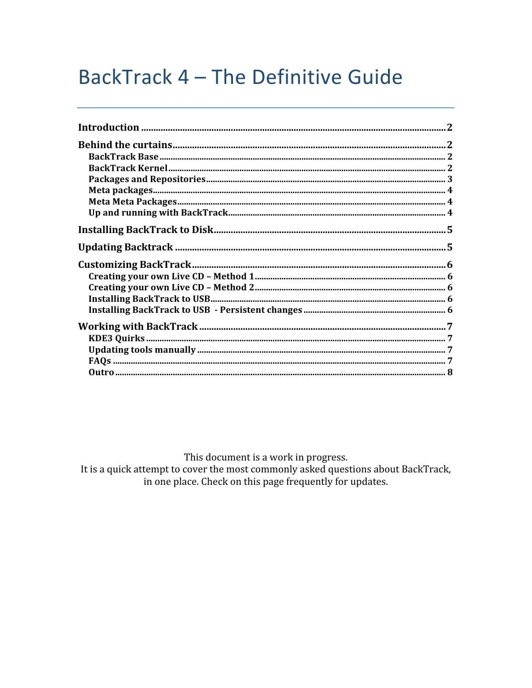# BackTrack 4 - The Definitive Guide

This document is a work in progress.

It is a quick attempt to cover the most commonly asked questions about BackTrack, in one place. Check on this page frequently for updates.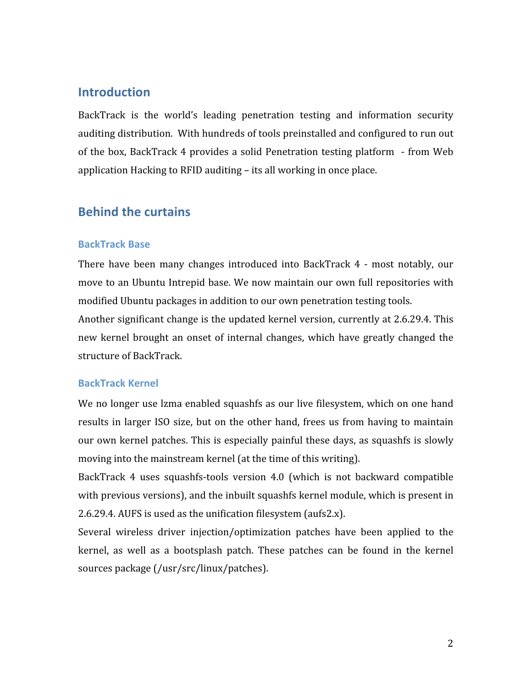### **Introduction**

BackTrack is the world's leading penetration testing and information security auditing distribution. With hundreds of tools preinstalled and configured to run out of the box, BackTrack 4 provides a solid Penetration testing platform - from Web application
Hacking
to
RFID
auditing
–
its
all
working
in
once
place.

### **Behind
the
curtains**

### **BackTrack
Base**

There have been many changes introduced into BackTrack 4 - most notably, our move
to
an
Ubuntu
Intrepid
base.
We
now
maintain
our
own
 full
repositories
with modified Ubuntu packages in addition to our own penetration testing tools.

Another significant change is the updated kernel version, currently at 2.6.29.4. This new kernel brought an onset of internal changes, which have greatly changed the structure
of
BackTrack.

### **BackTrack
Kernel**

We no longer use lzma enabled squashfs as our live filesystem, which on one hand results in larger ISO size, but on the other hand, frees us from having to maintain our
own
kernel
patches.
This
is
especially
painful
 these
days,
as
squashfs
is
slowly moving into the mainstream kernel (at the time of this writing).

BackTrack 4 uses squashfs-tools version 4.0 (which is not backward compatible with previous versions), and the inbuilt squashfs kernel module, which is present in 2.6.29.4.
AUFS
is
used
as
the
unification
filesystem
(aufs2.x).

Several wireless driver injection/optimization patches have been applied to the kernel, as well as a bootsplash patch. These patches can be found in the kernel sources
package
(/usr/src/linux/patches).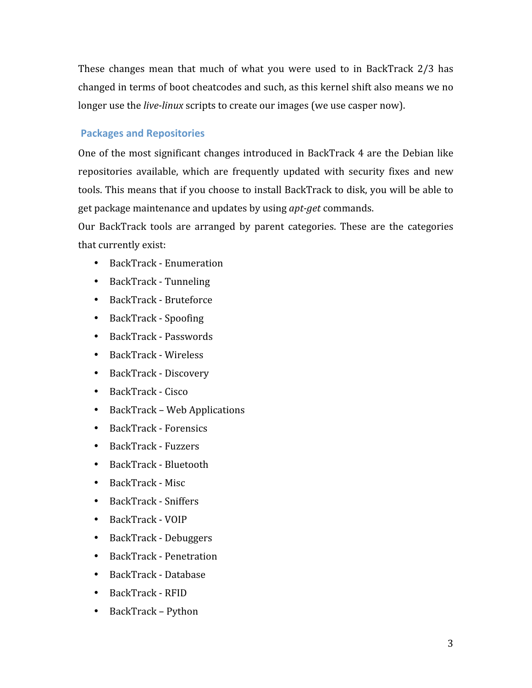These changes mean that much of what you were used to in BackTrack 2/3 has changed
in
terms
of
boot
cheatcodes
and
such,
as
this
kernel
shift
also
means
we
no longer use the *live-linux* scripts to create our images (we use casper now).

### **Packages
and
Repositories**

One of the most significant changes introduced in BackTrack 4 are the Debian like repositories available, which are frequently updated with security fixes and new tools. This means that if you choose to install BackTrack to disk, you will be able to get package maintenance and updates by using *apt-get* commands.

Our BackTrack tools are arranged by parent categories. These are the categories that
currently
exist:

- BackTrack
‐
Enumeration
- BackTrack Tunneling
- BackTrack Bruteforce
- BackTrack
‐
Spoofing
- BackTrack
‐
Passwords
- BackTrack
‐
Wireless
- BackTrack
‐
Discovery
- BackTrack
‐
Cisco
- BackTrack
–
Web
Applications
- BackTrack
‐
Forensics
- BackTrack
‐
Fuzzers
- BackTrack Bluetooth
- BackTrack Misc
- BackTrack
‐
Sniffers
- BackTrack
‐
VOIP
- BackTrack
‐
Debuggers
- BackTrack
‐
Penetration
- BackTrack
‐
Database
- BackTrack RFID
- BackTrack
–
Python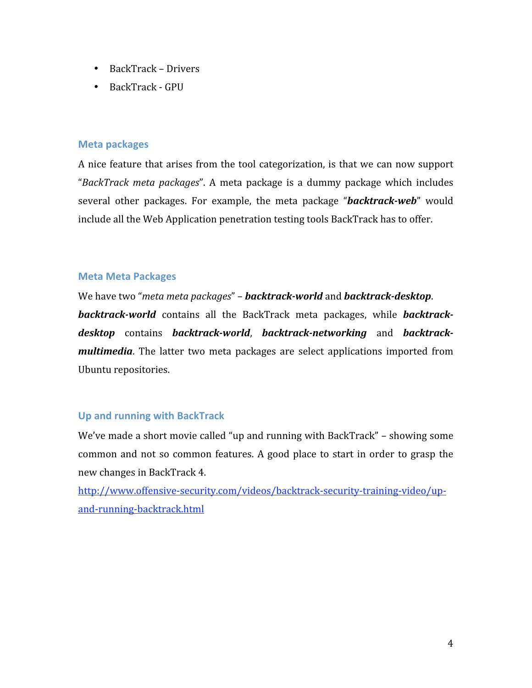- BackTrack
–
Drivers
- BackTrack GPU

### **Meta
packages**

A nice feature that arises from the tool categorization, is that we can now support "BackTrack meta packages". A meta package is a dummy package which includes several other packages. For example, the meta package "*backtrack-web*" would include
all
the
Web
Application
penetration
testing
tools
BackTrack
has
to
offer.

### **Meta
Meta
Packages**

We have two "*meta meta packages"* – **backtrack-world** and **backtrack-desktop**. **backtrack-world** contains all the BackTrack meta packages, while **backtrack**desktop contains backtrack-world, backtrack-networking and backtrack*multimedia*. The latter two meta packages are select applications imported from Ubuntu
repositories.

### **Up
and
running
with
BackTrack**

We've made a short movie called "up and running with BackTrack" – showing some common and not so common features. A good place to start in order to grasp the new
changes
in
BackTrack
4.

http://www.offensive-security.com/videos/backtrack-security-training-video/upand‐running‐backtrack.html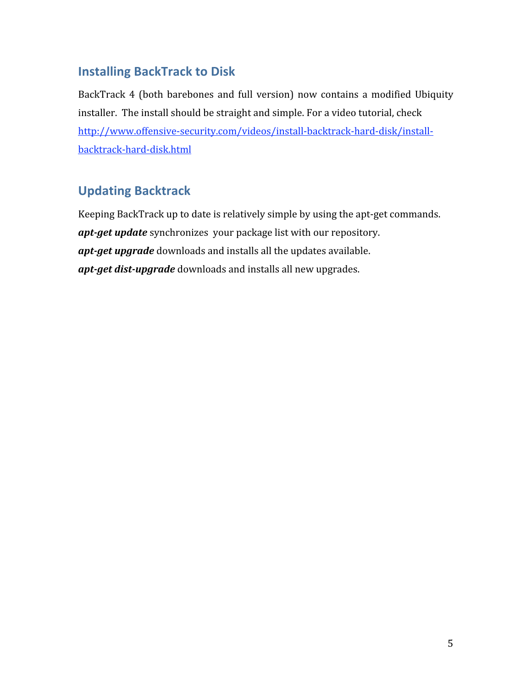## **Installing
BackTrack
to
Disk**

BackTrack 4 (both barebones and full version) now contains a modified Ubiquity installer.

The
install
should
be
straight
and
simple.
For
a
video
tutorial,
check http://www.offensive‐security.com/videos/install‐backtrack‐hard‐disk/install‐ backtrack‐hard‐disk.html

# **Updating
Backtrack**

Keeping
BackTrack
up
to
date
is
relatively
simple
by
using
the
apt‐get
commands. apt-get update synchronizes your package list with our repository. apt-get upgrade downloads and installs all the updates available. apt-get dist-upgrade downloads and installs all new upgrades.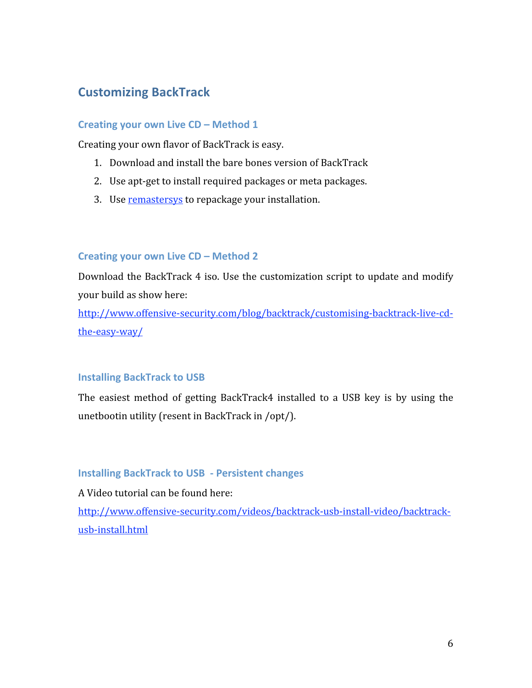# **Customizing
BackTrack**

### Creating your own Live CD – Method 1

Creating
your
own
flavor
of
BackTrack
is
easy.

- 1. Download
and
install
the
bare
bones
version
of
BackTrack
- 2. Use
apt‐get
to
install
required
packages
or
meta
packages.
- 3. Use remastersys to repackage your installation.

### Creating your own Live CD - Method 2

Download the BackTrack 4 iso. Use the customization script to update and modify your
build
as
show
here:

http://www.offensive-security.com/blog/backtrack/customising-backtrack-live-cdthe‐easy‐way/

### **Installing
BackTrack
to
USB**

The easiest method of getting BackTrack4 installed to a USB key is by using the unetbootin
utility
(resent
in
BackTrack
in
/opt/).

### **Installing
BackTrack
to
USB

‐
Persistent
changes**

A
Video
tutorial
can
be
found
here:

http://www.offensive-security.com/videos/backtrack-usb-install-video/backtrackusb-install.html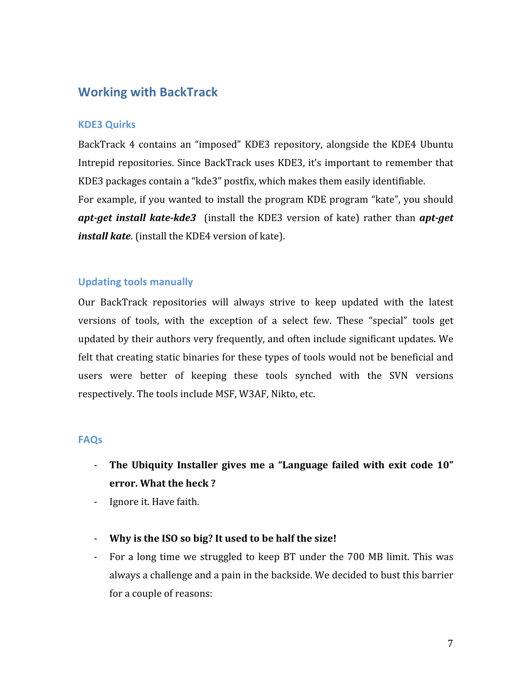### **Working
with
BackTrack**

### **KDE3
Quirks**

BackTrack 4 contains an "imposed" KDE3 repository, alongside the KDE4 Ubuntu Intrepid repositories. Since BackTrack uses KDE3, it's important to remember that KDE3
packages
contain
a
"kde3"
postfix,
which
makes
them
easily
identifiable. For example, if you wanted to install the program KDE program "kate", you should apt-get install kate-kde3 (install the KDE3 version of kate) rather than apt-get *install kate*. (install the KDE4 version of kate).

### **Updating
tools
manually**

Our BackTrack repositories will always strive to keep updated with the latest versions of tools, with the exception of a select few. These "special" tools get updated by their authors very frequently, and often include significant updates. We felt that creating static binaries for these types of tools would not be beneficial and users were better of keeping these tools synched with the SVN versions respectively.
The
tools
include
MSF,
W3AF,
Nikto,
etc.

#### **FAQs**

- The Ubiquity Installer gives me a "Language failed with exit code 10" **error.
What
the
heck
?**
- ‐ Ignore
it.
Have
faith.
- ‐ **Why
is
the
ISO
so
big?
It
used
to
be
half
the
size!**
- For a long time we struggled to keep BT under the 700 MB limit. This was always
a
challenge
and
a
pain
in
the
backside.
We
decided
to
bust
this
barrier for
a
couple
of
reasons: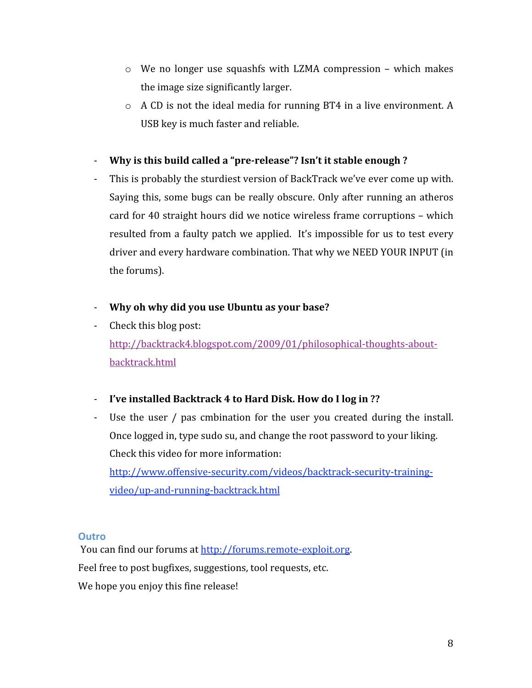- $\circ$  We no longer use squashfs with LZMA compression which makes the
image
size
significantly
larger.
- $\circ$  A CD is not the ideal media for running BT4 in a live environment. A USB
key
is
much
faster
and
reliable.
- Why is this build called a "pre-release"? Isn't it stable enough ?
- This is probably the sturdiest version of BackTrack we've ever come up with. Saying
 this,
some
bugs
can
be
really
obscure.
Only
after
running
an
atheros card
for
40
straight
hours
did
we
notice
wireless
frame
corruptions
–
which resulted from a faulty patch we applied. It's impossible for us to test every driver
and
every
hardware
combination.
That
why
we
NEED
YOUR
INPUT
(in the
forums).
- ‐ **Why
oh
why
did
you
use
Ubuntu
as
your
base?**
- ‐ Check
this
blog
post: http://backtrack4.blogspot.com/2009/01/philosophical-thoughts-aboutbacktrack.html
- ‐ **I've
installed
Backtrack
4
to
Hard
Disk.
How
do
I
log
in
??**
- Use the user / pas cmbination for the user you created during the install. Once
logged
in,
type
sudo
su,
and
change
the
root
password
to
your
liking. Check
this
video
for
more
information:

http://www.offensive-security.com/videos/backtrack-security-trainingvideo/up‐and‐running‐backtrack.html

### **Outro**

You
can
find
our
forums
at
http://forums.remote‐exploit.org. Feel free to post bugfixes, suggestions, tool requests, etc. We hope you enjoy this fine release!